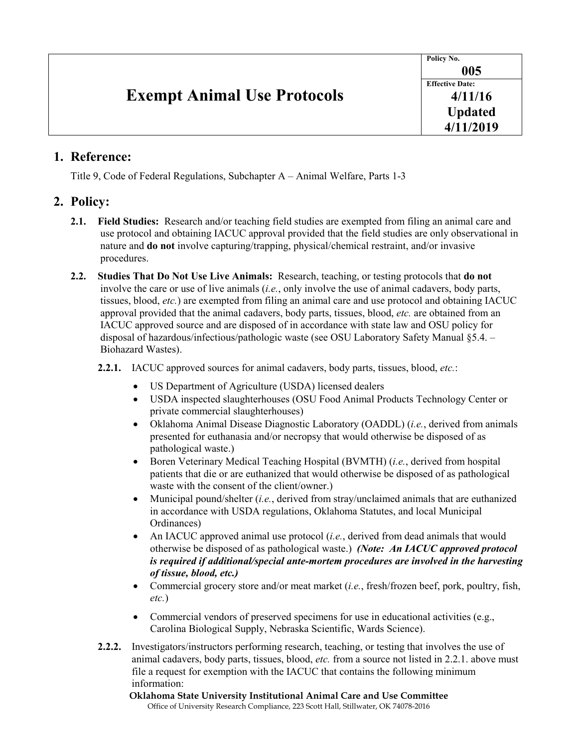| <b>Exempt Animal Use Protocols</b> | Policy No.             |
|------------------------------------|------------------------|
|                                    | 005                    |
|                                    | <b>Effective Date:</b> |
|                                    | 4/11/16                |
|                                    | <b>Updated</b>         |
|                                    | 4/11/2019              |

## **1. Reference:**

Title 9, Code of Federal Regulations, Subchapter A – Animal Welfare, Parts 1-3

## **2. Policy:**

- **2.1. Field Studies:** Research and/or teaching field studies are exempted from filing an animal care and use protocol and obtaining IACUC approval provided that the field studies are only observational in nature and **do not** involve capturing/trapping, physical/chemical restraint, and/or invasive procedures.
- **2.2. Studies That Do Not Use Live Animals:** Research, teaching, or testing protocols that **do not**  involve the care or use of live animals (*i.e.*, only involve the use of animal cadavers, body parts, tissues, blood, *etc.*) are exempted from filing an animal care and use protocol and obtaining IACUC approval provided that the animal cadavers, body parts, tissues, blood, *etc.* are obtained from an IACUC approved source and are disposed of in accordance with state law and OSU policy for disposal of hazardous/infectious/pathologic waste (see OSU Laboratory Safety Manual §5.4. – Biohazard Wastes).

**2.2.1.** IACUC approved sources for animal cadavers, body parts, tissues, blood, *etc.*:

- US Department of Agriculture (USDA) licensed dealers
- USDA inspected slaughterhouses (OSU Food Animal Products Technology Center or private commercial slaughterhouses)
- Oklahoma Animal Disease Diagnostic Laboratory (OADDL) (*i.e.*, derived from animals presented for euthanasia and/or necropsy that would otherwise be disposed of as pathological waste.)
- Boren Veterinary Medical Teaching Hospital (BVMTH) (*i.e.*, derived from hospital patients that die or are euthanized that would otherwise be disposed of as pathological waste with the consent of the client/owner.)
- Municipal pound/shelter (*i.e.*, derived from stray/unclaimed animals that are euthanized in accordance with USDA regulations, Oklahoma Statutes, and local Municipal Ordinances)
- An IACUC approved animal use protocol *(i.e.*, derived from dead animals that would otherwise be disposed of as pathological waste.) *(Note: An IACUC approved protocol is required if additional/special ante-mortem procedures are involved in the harvesting of tissue, blood, etc.)*
- Commercial grocery store and/or meat market (*i.e.*, fresh/frozen beef, pork, poultry, fish, *etc.*)
- Commercial vendors of preserved specimens for use in educational activities (e.g., Carolina Biological Supply, Nebraska Scientific, Wards Science).
- **2.2.2.** Investigators/instructors performing research, teaching, or testing that involves the use of animal cadavers, body parts, tissues, blood, *etc.* from a source not listed in 2.2.1. above must file a request for exemption with the IACUC that contains the following minimum information:

**Oklahoma State University Institutional Animal Care and Use Committee** Office of University Research Compliance, 223 Scott Hall, Stillwater, OK 74078-2016